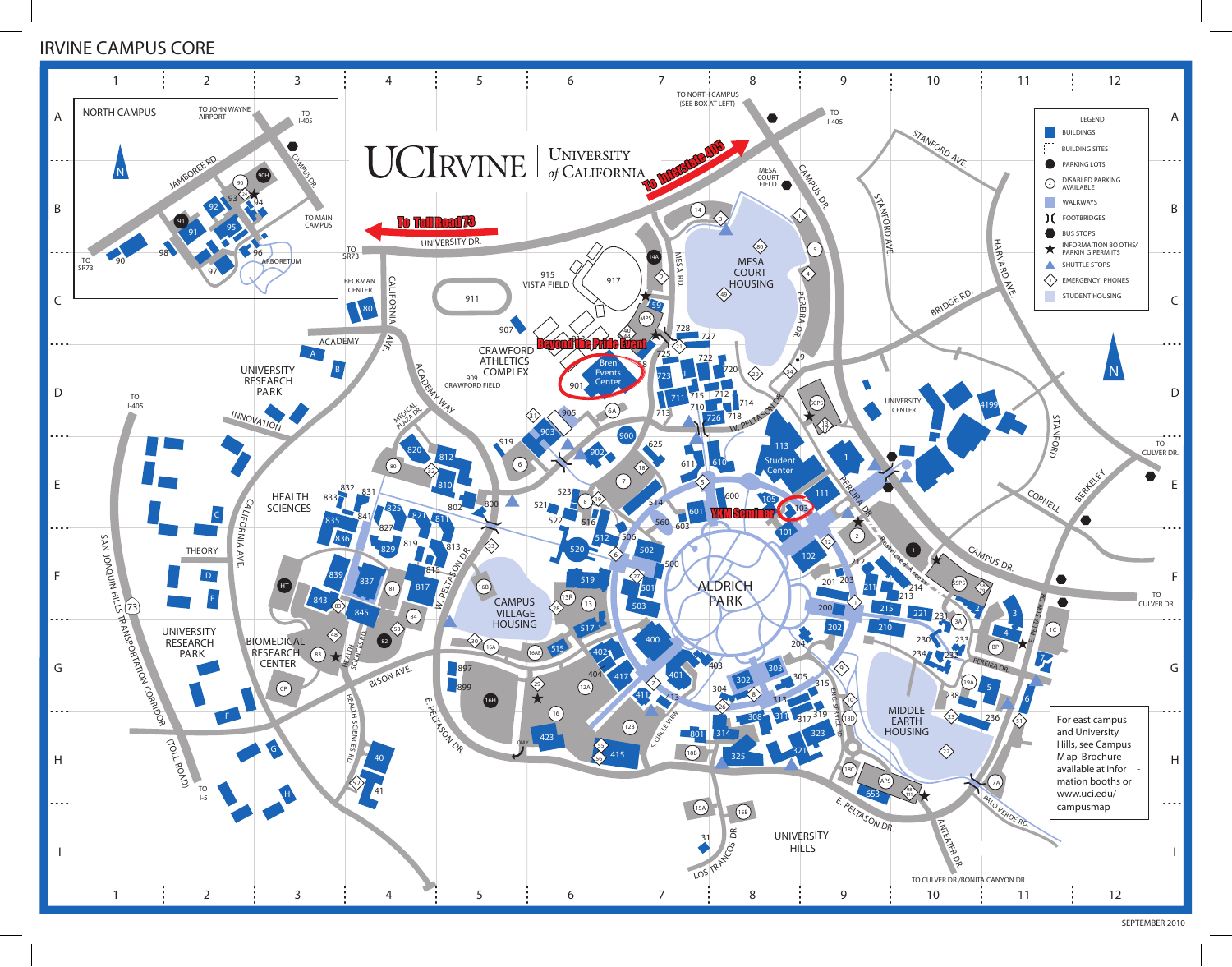## IRVINE CAMPUS CORE



SEPTEMBER 2010